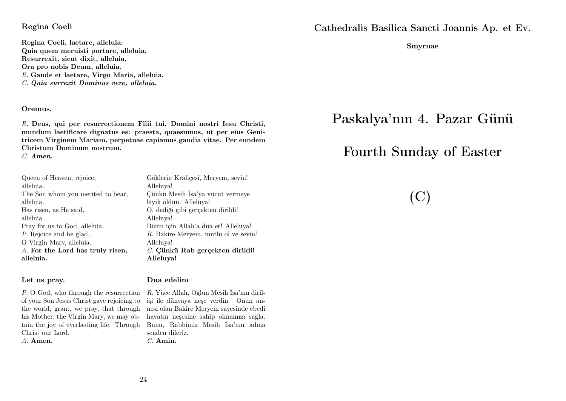#### Regina Coeli

Regina Coeli, laetare, alleluia: Quia quem meruisti portare, alleluia, Resurrexit, sicut dixit, alleluia, Ora pro nobis Deum, alleluia. R. Gaude et laetare, Virgo Maria, alleluia. C. Quia surrexit Dominus vere, alleluia.

#### Oremus.

R. Deus, qui per resurrectionem Filii tui, Domini nostri Iesu Christi, mundum laetificare dignatus es: praesta, quaesumus, ut per eius Genitricem Virginem Mariam, perpetuae capiamus gaudia vitae. Per eundem Christum Dominum nostrum.

C. Amen.

| Queen of Heaven, rejoice,         |  |
|-----------------------------------|--|
| alleluia.                         |  |
| The Son whom you merited to bear, |  |
| alleluia.                         |  |
| Has risen, as He said,            |  |
| alleluia.                         |  |
| Pray for us to God, alleluia.     |  |
| P. Rejoice and be glad,           |  |
| O Virgin Mary, alleluia.          |  |
| A. For the Lord has truly risen,  |  |
| alleluia.                         |  |

#### Let us pray.

P. O God, who through the resurrection R. Yüce Allah, Oğlun Mesih İsa'nın dirilof your Son Jesus Christ gave rejoicing to the world, grant, we pray, that through nesi olan Bakire Meryem sayesinde ebedi his Mother, the Virgin Mary, we may obtain the joy of everlasting life. Through Bunu, Rabbimiz Mesih İsa'nın adına Christ our Lord. A. Amen.

Alleluya! Çünkü Mesih İsa'ya vücut vermeye layık oldun. Alleluya! O, dediği gibi gerçekten dirildi! Alleluya! Bizim için Allah'a dua et! Alleluya! R. Bakire Meryem, mutlu ol ve sevin! Alleluya! C. Cünkü Rab gerçekten dirildi! Alleluya!

Göklerin Kraliçesi, Meryem, sevin!

#### Dua edelim

işi ile dünyaya neşe verdin. Onun anhayatın neşesine sahip olmamızı sağla. senden dileriz. C. Amin.

Smyrnae

# Paskalya'nın 4. Pazar Günü

# Fourth Sunday of Easter

(C)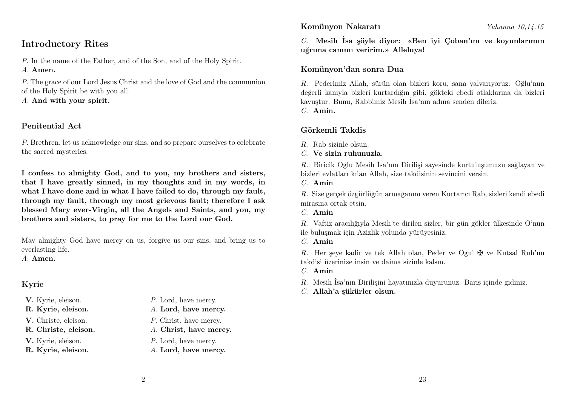# Introductory Rites

P. In the name of the Father, and of the Son, and of the Holy Spirit. A. Amen.

P. The grace of our Lord Jesus Christ and the love of God and the communion of the Holy Spirit be with you all.

A. And with your spirit.

#### Penitential Act

P. Brethren, let us acknowledge our sins, and so prepare ourselves to celebrate the sacred mysteries.

I confess to almighty God, and to you, my brothers and sisters, that I have greatly sinned, in my thoughts and in my words, in what I have done and in what I have failed to do, through my fault, through my fault, through my most grievous fault; therefore I ask blessed Mary ever-Virgin, all the Angels and Saints, and you, my brothers and sisters, to pray for me to the Lord our God.

May almighty God have mercy on us, forgive us our sins, and bring us to everlasting life.

A. Amen.

## Kyrie

- 
- 
- 
- 

- V. Kyrie, eleison.  $P.$  Lord, have mercy.
- R. Kyrie, eleison. A. Lord, have mercy.
- V. Christe, eleison. P. Christ, have mercy.
- R. Christe, eleison. A. Christ, have mercy.
- V. Kyrie, eleison.  $P$ . Lord, have mercy.
- R. Kyrie, eleison. A. Lord, have mercy.

#### Komünyon Nakaratı Yuhanna 10,14.15

C. Mesih İsa şöyle diyor: «Ben iyi Çoban'ım ve koyunlarımın uğruna canımı veririm.» Alleluya!

#### Komünyon'dan sonra Dua

R. Pederimiz Allah, sürün olan bizleri koru, sana yalvarıyoruz: Oğlu'nun değerli kanıyla bizleri kurtardığın gibi, gökteki ebedi otlaklarına da bizleri kavuştur. Bunu, Rabbimiz Mesih İsa'nın adına senden dileriz.

C. Amin.

#### Görkemli Takdis

- R. Rab sizinle olsun.
- $C$ . Ve sizin ruhunuzla.

R. Biricik Oğlu Mesih İsa'nın Dirilişi sayesinde kurtuluşumuzu sağlayan ve bizleri evlatları kılan Allah, size takdisinin sevincini versin.

C. Amin

R. Size gerçek özgürlüğün armağanını veren Kurtarıcı Rab, sizleri kendi ebedi mirasına ortak etsin.

C. Amin

R. Vaftiz aracılığıyla Mesih'te dirilen sizler, bir gün gökler ülkesinde O'nun ile buluşmak için Azizlik yolunda yürüyesiniz.

C. Amin

R. Her şeye kadir ve tek Allah olan, Peder ve Oğul  $\mathbf{\Psi}$  ve Kutsal Ruh'un takdisi üzerinize insin ve daima sizinle kalsın.

- C. Amin
- R. Mesih İsa'nın Dirilişini hayatınızla duyurunuz. Barış içinde gidiniz.
- C. Allah'a şükürler olsun.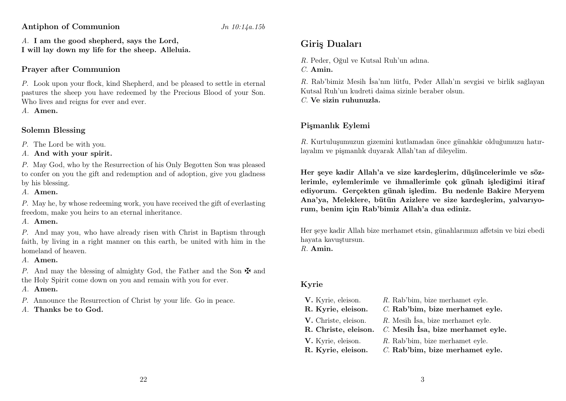Antiphon of Communion Jn 10:14a.15b

A. I am the good shepherd, says the Lord, I will lay down my life for the sheep. Alleluia.

#### Prayer after Communion

P. Look upon your flock, kind Shepherd, and be pleased to settle in eternal pastures the sheep you have redeemed by the Precious Blood of your Son. Who lives and reigns for ever and ever.

A. Amen.

#### Solemn Blessing

P. The Lord be with you.

A. And with your spirit.

P. May God, who by the Resurrection of his Only Begotten Son was pleased to confer on you the gift and redemption and of adoption, give you gladness by his blessing.

A. Amen.

P. May he, by whose redeeming work, you have received the gift of everlasting freedom, make you heirs to an eternal inheritance.

A. Amen.

P. And may you, who have already risen with Christ in Baptism through faith, by living in a right manner on this earth, be united with him in the homeland of heaven.

A. Amen.

P. And may the blessing of almighty God, the Father and the Son  $\mathbf{\Psi}$  and the Holy Spirit come down on you and remain with you for ever.

A. Amen.

P. Announce the Resurrection of Christ by your life. Go in peace.

A. Thanks be to God.

# Giriş Duaları

R. Peder, Oğul ve Kutsal Ruh'un adına.

C. Amin.

R. Rab'bimiz Mesih İsa'nın lütfu, Peder Allah'ın sevgisi ve birlik sağlayan Kutsal Ruh'un kudreti daima sizinle beraber olsun.

 $C$ . Ve sizin ruhunuzla.

## Pişmanlık Eylemi

R. Kurtuluşumuzun gizemini kutlamadan önce günahkâr olduğumuzu hatırlayalım ve pişmanlık duyarak Allah'tan af dileyelim.

Her şeye kadir Allah'a ve size kardeşlerim, düşüncelerimle ve sözlerimle, eylemlerimle ve ihmallerimle çok günah işlediğimi itiraf ediyorum. Gerçekten günah işledim. Bu nedenle Bakire Meryem Ana'ya, Meleklere, bütün Azizlere ve size kardeşlerim, yalvarıyorum, benim için Rab'bimiz Allah'a dua ediniz.

Her şeye kadir Allah bize merhamet etsin, günahlarımızı affetsin ve bizi ebedi hayata kavuştursun.

R. Amin.

#### Kyrie

| V. Kyrie, eleison.   | R. Rab'bim, bize merhamet eyle.      |
|----------------------|--------------------------------------|
| R. Kyrie, eleison.   | C. Rab'bim, bize merhamet eyle.      |
| V. Christe, eleison. | $R$ . Mesih İsa, bize merhamet eyle. |
| R. Christe, eleison. | $C.$ Mesih Isa, bize merhamet eyle.  |
| V. Kyrie, eleison.   | R. Rab'bim, bize merhamet eyle.      |
| R. Kyrie, eleison.   | C. Rab'bim, bize merhamet eyle.      |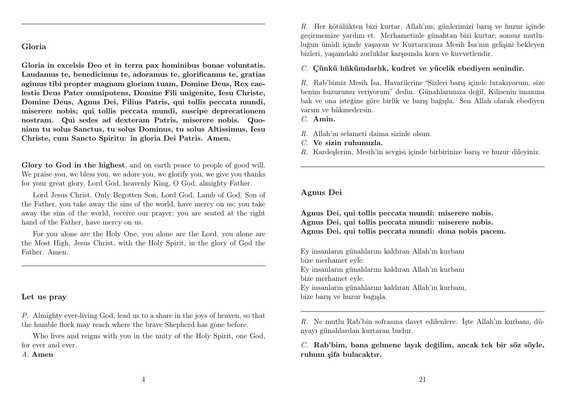#### Gloria

Gloria in excelsis Deo et in terra pax hominibus bonae voluntatis. Laudamus te, benedicimus te, adoramus te, glorificamus te, gratias agimus tibi propter magnam gloriam tuam, Domine Deus, Rex caelestis Deus Pater omnipotens, Domine Fili unigenite, Iesu Christe, Domine Deus, Agnus Dei, Filius Patris, qui tollis peccata mundi, miserere nobis; qui tollis peccata mundi, suscipe deprecationem nostram. Qui sedes ad dexteram Patris, miserere nobis. Quoniam tu solus Sanctus, tu solus Dominus, tu solus Altissimus, Iesu Christe, cum Sancto Spiritu: in gloria Dei Patris. Amen.

Glory to God in the highest, and on earth peace to people of good will. We praise you, we bless you, we adore you, we glorify you, we give you thanks for your great glory, Lord God, heavenly King, O God, almighty Father.

Lord Jesus Christ, Only Begotten Son, Lord God, Lamb of God, Son of the Father, you take away the sins of the world, have mercy on us; you take away the sins of the world, receive our prayer; you are seated at the right hand of the Father, have mercy on us.

For you alone are the Holy One, you alone are the Lord, you alone are the Most High, Jesus Christ, with the Holy Spirit, in the glory of God the Father. Amen.

#### Let us pray

P. Almighty ever-living God, lead us to a share in the joys of heaven, so that the humble flock may reach where the brave Shepherd has gone before.

Who lives and reigns with you in the unity of the Holy Spirit, one God, for ever and ever.

#### A. Amen

R. Her kötülükten bizi kurtar, Allah'ım; günlerimizi barış ve huzur içinde geçirmemize yardım et. Merhametinle günahtan bizi kurtar; sonsuz mutluluğun ümidi içinde yaşayan ve Kurtarıcımız Mesih İsa'nın gelişini bekleyen bizleri, yaşamdaki zorluklar karşısında koru ve kuvvetlendir.

C. Çünkü hükümdarlık, kudret ve yücelik ebediyen senindir.

R. Rab'bimiz Mesih İsa, Havarilerine "Sizleri barış içinde bırakıyorum, size benim huzurumu veriyorum" dedin. Günahlarımıza değil, Kilisenin imanına bak ve ona isteğine göre birlik ve barış bağışla. Sen Allah olarak ebediyen varsın ve hükmedersin.

C. Amin.

- R. Allah'ın selameti daima sizinle olsun.
- C. Ve sizin ruhunuzla.
- R. Kardeşlerim, Mesih'in sevgisi içinde birbirinize barış ve huzur dileyiniz.

#### Agnus Dei

Agnus Dei, qui tollis peccata mundi: miserere nobis. Agnus Dei, qui tollis peccata mundi: miserere nobis. Agnus Dei, qui tollis peccata mundi: dona nobis pacem.

Ey insanların günahlarını kaldıran Allah'ın kurbanı bize merhamet eyle. Ey insanların günahlarını kaldıran Allah'ın kurbanı

bize merhamet eyle.

Ey insanların günahlarını kaldıran Allah'ın kurbanı, bize barış ve huzur bağışla.

R. Ne mutlu Rab'bin sofrasına davet edilenlere. İşte Allah'ın kurbanı, dünyayı günahlardan kurtaran budur.

C. Rab'bim, bana gelmene layık değilim, ancak tek bir söz söyle, ruhum şifa bulacaktır.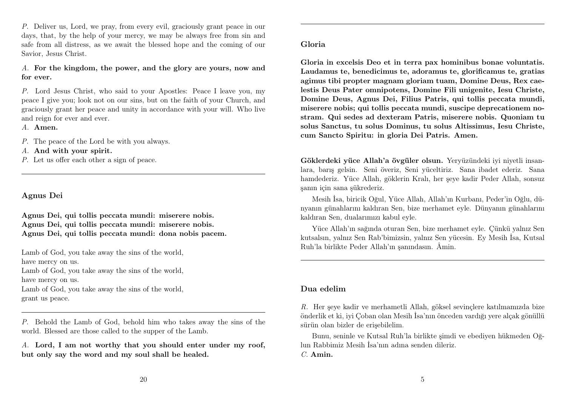P. Deliver us, Lord, we pray, from every evil, graciously grant peace in our days, that, by the help of your mercy, we may be always free from sin and safe from all distress, as we await the blessed hope and the coming of our Savior, Jesus Christ.

A. For the kingdom, the power, and the glory are yours, now and for ever.

P. Lord Jesus Christ, who said to your Apostles: Peace I leave you, my peace I give you; look not on our sins, but on the faith of your Church, and graciously grant her peace and unity in accordance with your will. Who live and reign for ever and ever.

A. Amen.

P. The peace of the Lord be with you always.

A. And with your spirit.

P. Let us offer each other a sign of peace.

#### Agnus Dei

Agnus Dei, qui tollis peccata mundi: miserere nobis. Agnus Dei, qui tollis peccata mundi: miserere nobis. Agnus Dei, qui tollis peccata mundi: dona nobis pacem.

Lamb of God, you take away the sins of the world, have mercy on us. Lamb of God, you take away the sins of the world, have mercy on us. Lamb of God, you take away the sins of the world, grant us peace.

P. Behold the Lamb of God, behold him who takes away the sins of the world. Blessed are those called to the supper of the Lamb.

A. Lord, I am not worthy that you should enter under my roof, but only say the word and my soul shall be healed.

Gloria in excelsis Deo et in terra pax hominibus bonae voluntatis. Laudamus te, benedicimus te, adoramus te, glorificamus te, gratias agimus tibi propter magnam gloriam tuam, Domine Deus, Rex caelestis Deus Pater omnipotens, Domine Fili unigenite, Iesu Christe, Domine Deus, Agnus Dei, Filius Patris, qui tollis peccata mundi, miserere nobis; qui tollis peccata mundi, suscipe deprecationem nostram. Qui sedes ad dexteram Patris, miserere nobis. Quoniam tu solus Sanctus, tu solus Dominus, tu solus Altissimus, Iesu Christe, cum Sancto Spiritu: in gloria Dei Patris. Amen.

Göklerdeki yüce Allah'a övgüler olsun. Yeryüzündeki iyi niyetli insanlara, barış gelsin. Seni överiz, Seni yüceltiriz. Sana ibadet ederiz. Sana hamdederiz. Yüce Allah, göklerin Kralı, her şeye kadir Peder Allah, sonsuz şanın için sana şükrederiz.

Mesih İsa, biricik Oğul, Yüce Allah, Allah'ın Kurbanı, Peder'in Oğlu, dünyanın günahlarını kaldıran Sen, bize merhamet eyle. Dünyanın günahlarını kaldıran Sen, dualarımızı kabul eyle.

Yüce Allah'ın sağında oturan Sen, bize merhamet eyle. Çünkü yalnız Sen kutsalsın, yalnız Sen Rab'bimizsin, yalnız Sen yücesin. Ey Mesih İsa, Kutsal Ruh'la birlikte Peder Allah'ın şanındasın. Âmin.

#### Dua edelim

R. Her şeye kadir ve merhametli Allah, göksel sevinçlere katılmamızda bize önderlik et ki, iyi Çoban olan Mesih İsa'nın önceden vardığı yere alçak gönüllü sürün olan bizler de erişebilelim.

Bunu, seninle ve Kutsal Ruh'la birlikte şimdi ve ebediyen hükmeden Oğlun Rabbimiz Mesih İsa'nın adına senden dileriz. C. Amin.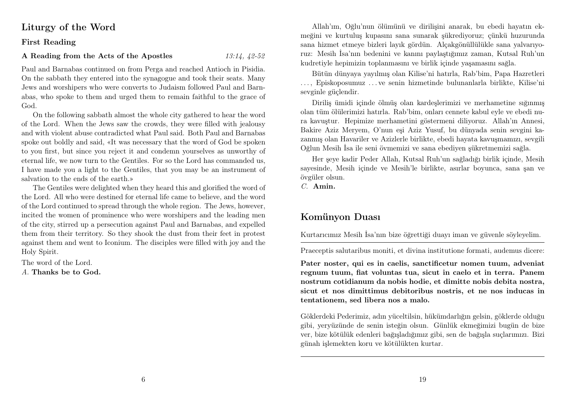# Liturgy of the Word

First Reading

#### A Reading from the Acts of the Apostles 13:14, 42-52

Paul and Barnabas continued on from Perga and reached Antioch in Pisidia. On the sabbath they entered into the synagogue and took their seats. Many Jews and worshipers who were converts to Judaism followed Paul and Barnabas, who spoke to them and urged them to remain faithful to the grace of God.

On the following sabbath almost the whole city gathered to hear the word of the Lord. When the Jews saw the crowds, they were filled with jealousy and with violent abuse contradicted what Paul said. Both Paul and Barnabas spoke out boldly and said, «It was necessary that the word of God be spoken to you first, but since you reject it and condemn yourselves as unworthy of eternal life, we now turn to the Gentiles. For so the Lord has commanded us, I have made you a light to the Gentiles, that you may be an instrument of salvation to the ends of the earth.»

The Gentiles were delighted when they heard this and glorified the word of the Lord. All who were destined for eternal life came to believe, and the word of the Lord continued to spread through the whole region. The Jews, however, incited the women of prominence who were worshipers and the leading men of the city, stirred up a persecution against Paul and Barnabas, and expelled them from their territory. So they shook the dust from their feet in protest against them and went to Iconium. The disciples were filled with joy and the Holy Spirit.

The word of the Lord.

A. Thanks be to God.

Allah'ım, Oğlu'nun ölümünü ve dirilişini anarak, bu ebedi hayatın ekmeğini ve kurtuluş kupasını sana sunarak şükrediyoruz; çünkü huzurunda sana hizmet etmeye bizleri layık gördün. Alçakgönüllülükle sana yalvarıyoruz: Mesih İsa'nın bedenini ve kanını paylaştığımız zaman, Kutsal Ruh'un kudretiyle hepimizin toplanmasını ve birlik içinde yaşamasını sağla.

Bütün dünyaya yayılmış olan Kilise'ni hatırla, Rab'bim, Papa Hazretleri . . . , Episkoposumuz . . . ve senin hizmetinde bulunanlarla birlikte, Kilise'ni sevginle güçlendir.

Diriliş ümidi içinde ölmüş olan kardeşlerimizi ve merhametine sığınmış olan tüm ölülerimizi hatırla. Rab'bim, onları cennete kabul eyle ve ebedi nura kavuştur. Hepimize merhametini göstermeni diliyoruz. Allah'ın Annesi, Bakire Aziz Meryem, O'nun eşi Aziz Yusuf, bu dünyada senin sevgini kazanmış olan Havariler ve Azizlerle birlikte, ebedi hayata kavuşmamızı, sevgili Oğlun Mesih İsa ile seni övmemizi ve sana ebediyen şükretmemizi sağla.

Her şeye kadir Peder Allah, Kutsal Ruh'un sağladığı birlik içinde, Mesih sayesinde, Mesih içinde ve Mesih'le birlikte, asırlar boyunca, sana şan ve övgüler olsun.

C. Amin.

# Komünyon Duası

Kurtarıcımız Mesih İsa'nın bize öğrettiği duayı iman ve güvenle söyleyelim.

Praeceptis salutaribus moniti, et divina institutione formati, audemus dicere:

Pater noster, qui es in caelis, sanctificetur nomen tuum, adveniat regnum tuum, fiat voluntas tua, sicut in caelo et in terra. Panem nostrum cotidianum da nobis hodie, et dimitte nobis debita nostra, sicut et nos dimittimus debitoribus nostris, et ne nos inducas in tentationem, sed libera nos a malo.

Göklerdeki Pederimiz, adın yüceltilsin, hükümdarlığın gelsin, göklerde olduğu gibi, yeryüzünde de senin isteğin olsun. Günlük ekmeğimizi bugün de bize ver, bize kötülük edenleri bağışladığımız gibi, sen de bağışla suçlarımızı. Bizi günah işlemekten koru ve kötülükten kurtar.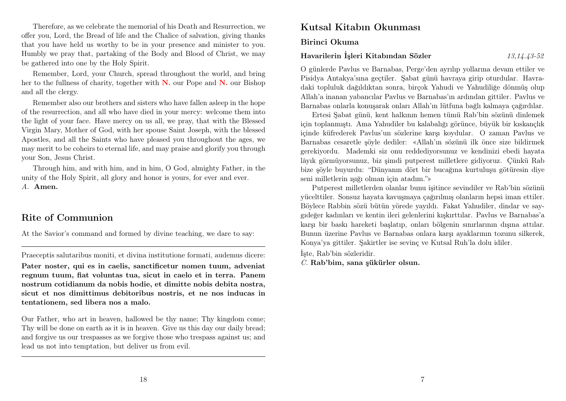Therefore, as we celebrate the memorial of his Death and Resurrection, we offer you, Lord, the Bread of life and the Chalice of salvation, giving thanks that you have held us worthy to be in your presence and minister to you. Humbly we pray that, partaking of the Body and Blood of Christ, we may be gathered into one by the Holy Spirit.

Remember, Lord, your Church, spread throughout the world, and bring her to the fullness of charity, together with  $N$ , our Pope and  $N$ , our Bishop and all the clergy.

Remember also our brothers and sisters who have fallen asleep in the hope of the resurrection, and all who have died in your mercy: welcome them into the light of your face. Have mercy on us all, we pray, that with the Blessed Virgin Mary, Mother of God, with her spouse Saint Joseph, with the blessed Apostles, and all the Saints who have pleased you throughout the ages, we may merit to be coheirs to eternal life, and may praise and glorify you through your Son, Jesus Christ.

Through him, and with him, and in him, O God, almighty Father, in the unity of the Holy Spirit, all glory and honor is yours, for ever and ever. A. Amen.

# Rite of Communion

At the Savior's command and formed by divine teaching, we dare to say:

Praeceptis salutaribus moniti, et divina institutione formati, audemus dicere:

Pater noster, qui es in caelis, sanctificetur nomen tuum, adveniat regnum tuum, fiat voluntas tua, sicut in caelo et in terra. Panem nostrum cotidianum da nobis hodie, et dimitte nobis debita nostra, sicut et nos dimittimus debitoribus nostris, et ne nos inducas in tentationem, sed libera nos a malo.

Our Father, who art in heaven, hallowed be thy name; Thy kingdom come; Thy will be done on earth as it is in heaven. Give us this day our daily bread; and forgive us our trespasses as we forgive those who trespass against us; and lead us not into temptation, but deliver us from evil.

# Kutsal Kitabın Okunması

Birinci Okuma

#### Havarilerin İşleri Kitabından Sözler 13,14.43-52

O günlerde Pavlus ve Barnabas, Perge'den ayrılıp yollarına devam ettiler ve Pisidya Antakya'sına geçtiler. Şabat günü havraya girip oturdular. Havradaki topluluk dağıldıktan sonra, birçok Yahudi ve Yahudiliğe dönmüş olup Allah'a inanan yabancılar Pavlus ve Barnabas'ın ardından gittiler. Pavlus ve Barnabas onlarla konuşarak onları Allah'ın lütfuna bağlı kalmaya çağırdılar.

Ertesi Şabat günü, kent halkının hemen tümü Rab'bin sözünü dinlemek için toplanmıştı. Ama Yahudiler bu kalabalığı görünce, büyük bir kıskançlık içinde küfrederek Pavlus'un sözlerine karşı koydular. O zaman Pavlus ve Barnabas cesaretle şöyle dediler: «Allah'ın sözünü ilk önce size bildirmek gerekiyordu. Mademki siz onu reddediyorsunuz ve kendinizi ebedi hayata lâyık görmüyorsunuz, biz şimdi putperest milletlere gidiyoruz. Çünkü Rab bize şöyle buyurdu: "Dünyanın dört bir bucağına kurtuluşu götüresin diye seni milletlerin ışığı olman için atadım."»

Putperest milletlerden olanlar bunu işitince sevindiler ve Rab'bin sözünü yücelttiler. Sonsuz hayata kavuşmaya çağırılmış olanların hepsi iman ettiler. Böylece Rabbin sözü bütün yörede yayıldı. Fakat Yahudiler, dindar ve saygıdeğer kadınları ve kentin ileri gelenlerini kışkırttılar. Pavlus ve Barnabas'a karşı bir baskı hareketi başlatıp, onları bölgenin sınırlarının dışına attılar. Bunun üzerine Pavlus ve Barnabas onlara karşı ayaklarının tozunu silkerek, Konya'ya gittiler. Şakirtler ise sevinç ve Kutsal Ruh'la dolu idiler.

İşte, Rab'bin sözleridir.

C. Rab'bim, sana şükürler olsun.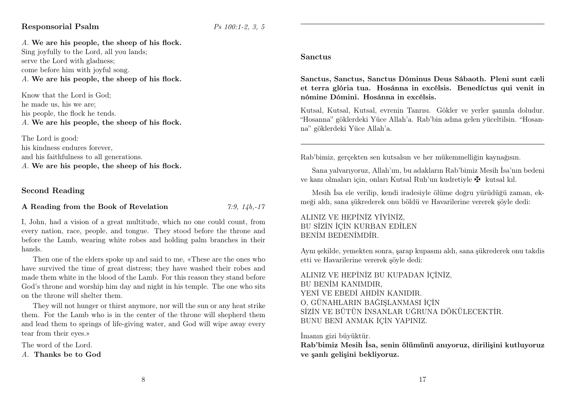A. We are his people, the sheep of his flock. Sing joyfully to the Lord, all you lands; serve the Lord with gladness; come before him with joyful song. A. We are his people, the sheep of his flock.

Know that the Lord is God; he made us, his we are; his people, the flock he tends. A. We are his people, the sheep of his flock.

The Lord is good: his kindness endures forever, and his faithfulness to all generations. A. We are his people, the sheep of his flock.

#### Second Reading

#### A Reading from the Book of Revelation  $\begin{array}{cc} 7.9 & 14b-17 \end{array}$

I, John, had a vision of a great multitude, which no one could count, from every nation, race, people, and tongue. They stood before the throne and before the Lamb, wearing white robes and holding palm branches in their hands.

Then one of the elders spoke up and said to me, «These are the ones who have survived the time of great distress; they have washed their robes and made them white in the blood of the Lamb. For this reason they stand before God's throne and worship him day and night in his temple. The one who sits on the throne will shelter them.

They will not hunger or thirst anymore, nor will the sun or any heat strike them. For the Lamb who is in the center of the throne will shepherd them and lead them to springs of life-giving water, and God will wipe away every tear from their eyes.»

The word of the Lord. A. Thanks be to God

#### Sanctus

Sanctus, Sanctus, Sanctus Dóminus Deus Sábaoth. Pleni sunt cæli et terra glória tua. Hosánna in excélsis. Benedíctus qui venit in nómine Dómini. Hosánna in excélsis.

Kutsal, Kutsal, Kutsal, evrenin Tanrısı. Gökler ve yerler şanınla doludur. "Hosanna" göklerdeki Yüce Allah'a. Rab'bin adına gelen yüceltilsin. "Hosanna" göklerdeki Yüce Allah'a.

Rab'bimiz, gerçekten sen kutsalsın ve her mükemmelliğin kaynağısın.

Sana yalvarıyoruz, Allah'ım, bu adakların Rab'bimiz Mesih İsa'nın bedeni ve kanı olmaları için, onları Kutsal Ruh'un kudretiyle  $\mathbf{\Psi}$  kutsal kıl.

Mesih İsa ele verilip, kendi iradesiyle ölüme doğru yürüdüğü zaman, ekmeği aldı, sana şükrederek onu böldü ve Havarilerine vererek şöyle dedi:

#### ALINIZ VE HEPİNİZ YİYİNİZ, BU SİZİN İÇİN KURBAN EDİLEN BENİM BEDENİMDİR.

Aynı şekilde, yemekten sonra, şarap kupasını aldı, sana şükrederek onu takdis etti ve Havarilerine vererek şöyle dedi:

ALINIZ VE HEPİNİZ BU KUPADAN İÇİNİZ, BU BENİM KANIMDIR, YENİ VE EBEDİ AHDİN KANIDIR. O, GÜNAHLARIN BAĞIŞLANMASI İÇİN SİZİN VE BÜTÜN İNSANLAR UĞRUNA DÖKÜLECEKTİR. BUNU BENİ ANMAK İÇİN YAPINIZ.

İmanın gizi büyüktür.

Rab'bimiz Mesih İsa, senin ölümünü anıyoruz, dirilişini kutluyoruz ve şanlı gelişini bekliyoruz.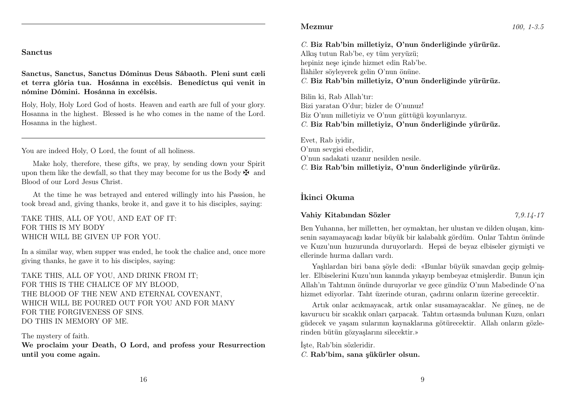Sanctus

Sanctus, Sanctus, Sanctus Dóminus Deus Sábaoth. Pleni sunt cæli et terra glória tua. Hosánna in excélsis. Benedíctus qui venit in nómine Dómini. Hosánna in excélsis.

Holy, Holy, Holy Lord God of hosts. Heaven and earth are full of your glory. Hosanna in the highest. Blessed is he who comes in the name of the Lord. Hosanna in the highest.

You are indeed Holy, O Lord, the fount of all holiness.

Make holy, therefore, these gifts, we pray, by sending down your Spirit upon them like the dewfall, so that they may become for us the Body  $\mathbf{\ddot{F}}$  and Blood of our Lord Jesus Christ.

At the time he was betrayed and entered willingly into his Passion, he took bread and, giving thanks, broke it, and gave it to his disciples, saying:

TAKE THIS, ALL OF YOU, AND EAT OF IT: FOR THIS IS MY BODY WHICH WILL BE GIVEN UP FOR YOU.

In a similar way, when supper was ended, he took the chalice and, once more giving thanks, he gave it to his disciples, saying:

TAKE THIS, ALL OF YOU, AND DRINK FROM IT; FOR THIS IS THE CHALICE OF MY BLOOD, THE BLOOD OF THE NEW AND ETERNAL COVENANT, WHICH WILL BE POURED OUT FOR YOU AND FOR MANY FOR THE FORGIVENESS OF SINS. DO THIS IN MEMORY OF ME.

#### The mystery of faith.

We proclaim your Death, O Lord, and profess your Resurrection until you come again.

C. Biz Rab'bin milletiyiz, O'nun önderliğinde yürürüz. Alkış tutun Rab'be, ey tüm yeryüzü; hepiniz neşe içinde hizmet edin Rab'be. İlâhiler söyleyerek gelin O'nun önüne. C. Biz Rab'bin milletiyiz, O'nun önderliğinde yürürüz.

Bilin ki, Rab Allah'tır: Bizi yaratan O'dur; bizler de O'nunuz! Biz O'nun milletiyiz ve O'nun güttüğü koyunlarıyız. C. Biz Rab'bin milletiyiz, O'nun önderliğinde yürürüz.

Evet, Rab iyidir, O'nun sevgisi ebedidir, O'nun sadakati uzanır nesilden nesile.

C. Biz Rab'bin milletiyiz, O'nun önderliğinde yürürüz.

#### İkinci Okuma

#### Vahiy Kitabından Sözler 7,9.14-17

Ben Yuhanna, her milletten, her oymaktan, her ulustan ve dilden oluşan, kimsenin sayamayacağı kadar büyük bir kalabalık gördüm. Onlar Tahtın önünde ve Kuzu'nun huzurunda duruyorlardı. Hepsi de beyaz elbiseler giymişti ve ellerinde hurma dalları vardı.

Yaşlılardan biri bana şöyle dedi: «Bunlar büyük sınavdan geçip gelmişler. Elbiselerini Kuzu'nun kanında yıkayıp bembeyaz etmişlerdir. Bunun için Allah'ın Tahtının önünde duruyorlar ve gece gündüz O'nun Mabedinde O'na hizmet ediyorlar. Taht üzerinde oturan, çadırını onların üzerine gerecektir.

Artık onlar acıkmayacak, artık onlar susamayacaklar. Ne güneş, ne de kavurucu bir sıcaklık onları çarpacak. Tahtın ortasında bulunan Kuzu, onları güdecek ve yaşam sularının kaynaklarına götürecektir. Allah onların gözlerinden bütün gözyaşlarını silecektir.»

İşte, Rab'bin sözleridir. C. Rab'bim, sana şükürler olsun.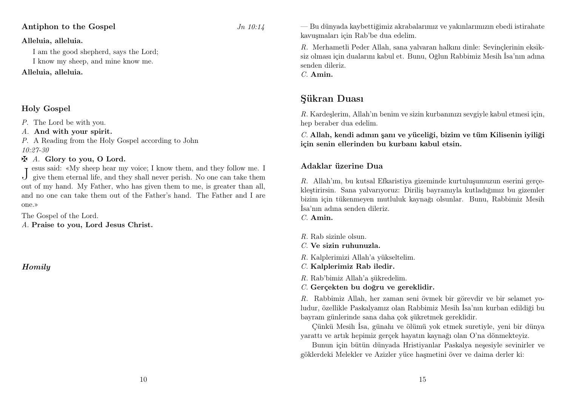Antiphon to the Gospel  $J_n$  10:14

#### Alleluia, alleluia.

I am the good shepherd, says the Lord;

I know my sheep, and mine know me.

#### Alleluia, alleluia.

# Holy Gospel

P. The Lord be with you.

A. And with your spirit.

P. A Reading from the Holy Gospel according to John 10:27-30

### $\mathbf{\ddot{A}}$ . Glory to you, O Lord.

J esus said: «My sheep hear my voice; I know them, and they follow me. I give them eternal life, and they shall never perish. No one can take them esus said: «My sheep hear my voice; I know them, and they follow me. I out of my hand. My Father, who has given them to me, is greater than all, and no one can take them out of the Father's hand. The Father and I are one.»

The Gospel of the Lord.

A. Praise to you, Lord Jesus Christ.

Homily

— Bu dünyada kaybettiğimiz akrabalarımız ve yakınlarımızın ebedi istirahate kavuşmaları için Rab'be dua edelim.

R. Merhametli Peder Allah, sana yalvaran halkını dinle: Sevinçlerinin eksiksiz olması için dualarını kabul et. Bunu, Oğlun Rabbimiz Mesih İsa'nın adına senden dileriz.

C. Amin.

# Şükran Duası

R. Kardeşlerim, Allah'ın benim ve sizin kurbanınızı sevgiyle kabul etmesi için, hep beraber dua edelim.

C. Allah, kendi adının şanı ve yüceliği, bizim ve tüm Kilisenin iyiliği için senin ellerinden bu kurbanı kabul etsin.

# Adaklar üzerine Dua

R. Allah'ım, bu kutsal Efkaristiya gizeminde kurtuluşumuzun eserini gerçekleştirirsin. Sana yalvarıyoruz: Diriliş bayramıyla kutladığımız bu gizemler bizim için tükenmeyen mutluluk kaynağı olsunlar. Bunu, Rabbimiz Mesih İsa'nın adına senden dileriz.

C. Amin.

- R. Rab sizinle olsun.
- C. Ve sizin ruhunuzla.
- R. Kalplerimizi Allah'a yükseltelim.
- C. Kalplerimiz Rab iledir.

R. Rab'bimiz Allah'a şükredelim.

C. Gerçekten bu doğru ve gereklidir.

R. Rabbimiz Allah, her zaman seni övmek bir görevdir ve bir selamet yoludur, özellikle Paskalyamız olan Rabbimiz Mesih İsa'nın kurban edildiği bu bayram günlerinde sana daha çok şükretmek gereklidir.

Çünkü Mesih İsa, günahı ve ölümü yok etmek suretiyle, yeni bir dünya yarattı ve artık hepimiz gerçek hayatın kaynağı olan O'na dönmekteyiz.

Bunun için bütün dünyada Hristiyanlar Paskalya neşesiyle sevinirler ve göklerdeki Melekler ve Azizler yüce haşmetini över ve daima derler ki: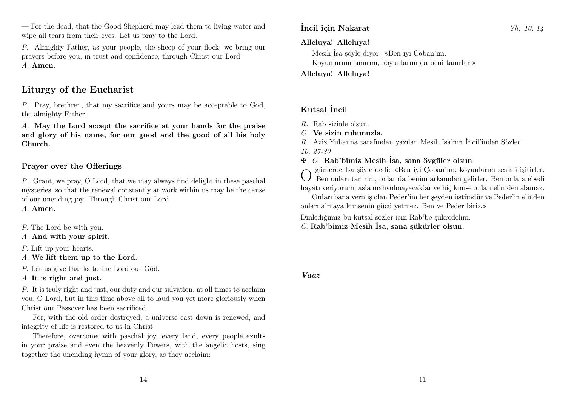— For the dead, that the Good Shepherd may lead them to living water and wipe all tears from their eyes. Let us pray to the Lord.

P. Almighty Father, as your people, the sheep of your flock, we bring our prayers before you, in trust and confidence, through Christ our Lord. A. Amen.

# Liturgy of the Eucharist

P. Pray, brethren, that my sacrifice and yours may be acceptable to God, the almighty Father.

A. May the Lord accept the sacrifice at your hands for the praise and glory of his name, for our good and the good of all his holy Church.

#### Prayer over the Offerings

P. Grant, we pray, O Lord, that we may always find delight in these paschal mysteries, so that the renewal constantly at work within us may be the cause of our unending joy. Through Christ our Lord.

A. Amen.

P. The Lord be with you.

A. And with your spirit.

P. Lift up your hearts.

A. We lift them up to the Lord.

P. Let us give thanks to the Lord our God.

#### A. It is right and just.

P. It is truly right and just, our duty and our salvation, at all times to acclaim you, O Lord, but in this time above all to laud you yet more gloriously when Christ our Passover has been sacrificed.

For, with the old order destroyed, a universe cast down is renewed, and integrity of life is restored to us in Christ

Therefore, overcome with paschal joy, every land, every people exults in your praise and even the heavenly Powers, with the angelic hosts, sing together the unending hymn of your glory, as they acclaim:

#### Alleluya! Alleluya!

Mesih İsa şöyle diyor: «Ben iyi Çoban'ım. Koyunlarımı tanırım, koyunlarım da beni tanırlar.»

Alleluya! Alleluya!

## Kutsal İncil

- R. Rab sizinle olsun.
- C. Ve sizin ruhunuzla.
- R. Aziz Yuhanna tarafından yazılan Mesih İsa'nın İncil'inden Sözler
- 10, 27-30

 $\mathbf{\ddot{F}}$  C. Rab'bimiz Mesih İsa, sana övgüler olsun

O günlerde İsa şöyle dedi: «Ben iyi Çoban'ım, koyunlarım sesimi işitirler. Ben onları tanırım, onlar da benim arkamdan gelirler. Ben onlara ebedi hayatı veriyorum; asla mahvolmayacaklar ve hiç kimse onları elimden alamaz.

Onları bana vermiş olan Peder'im her şeyden üstündür ve Peder'in elinden onları almaya kimsenin gücü yetmez. Ben ve Peder biriz.»

Dinlediğimiz bu kutsal sözler için Rab'be şükredelim. C. Rab'bimiz Mesih İsa, sana şükürler olsun.

Vaaz